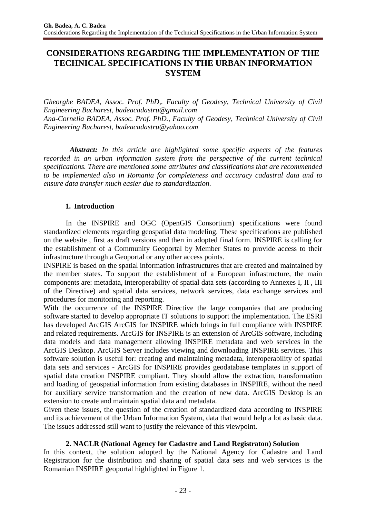# **CONSIDERATIONS REGARDING THE IMPLEMENTATION OF THE TECHNICAL SPECIFICATIONS IN THE URBAN INFORMATION SYSTEM**

*Gheorghe BADEA, Assoc. Prof. PhD,. Faculty of Geodesy, Technical University of Civil Engineering Bucharest, badeacadastru@gmail.com Ana-Cornelia BADEA, Assoc. Prof. PhD., Faculty of Geodesy, Technical University of Civil Engineering Bucharest, badeacadastru@yahoo.com*

*Abstract: In this article are highlighted some specific aspects of the features recorded in an urban information system from the perspective of the current technical specifications. There are mentioned some attributes and classifications that are recommended to be implemented also in Romania for completeness and accuracy cadastral data and to ensure data transfer much easier due to standardization.*

# **1. Introduction**

In the INSPIRE and OGC (OpenGIS Consortium) specifications were found standardized elements regarding geospatial data modeling. These specifications are published on the website , first as draft versions and then in adopted final form. INSPIRE is calling for the establishment of a Community Geoportal by Member States to provide access to their infrastructure through a Geoportal or any other access points.

INSPIRE is based on the spatial information infrastructures that are created and maintained by the member states. To support the establishment of a European infrastructure, the main components are: metadata, interoperability of spatial data sets (according to Annexes I, II , III of the Directive) and spatial data services, network services, data exchange services and procedures for monitoring and reporting.

With the occurrence of the INSPIRE Directive the large companies that are producing software started to develop appropriate IT solutions to support the implementation. The ESRI has developed ArcGIS ArcGIS for INSPIRE which brings in full compliance with INSPIRE and related requirements. ArcGIS for INSPIRE is an extension of ArcGIS software, including data models and data management allowing INSPIRE metadata and web services in the ArcGIS Desktop. ArcGIS Server includes viewing and downloading INSPIRE services. This software solution is useful for: creating and maintaining metadata, interoperability of spatial data sets and services - ArcGIS for INSPIRE provides geodatabase templates in support of spatial data creation INSPIRE compliant. They should allow the extraction, transformation and loading of geospatial information from existing databases in INSPIRE, without the need for auxiliary service transformation and the creation of new data. ArcGIS Desktop is an extension to create and maintain spatial data and metadata.

Given these issues, the question of the creation of standardized data according to INSPIRE and its achievement of the Urban Information System, data that would help a lot as basic data. The issues addressed still want to justify the relevance of this viewpoint.

# **2. NACLR (National Agency for Cadastre and Land Registraton) Solution**

In this context, the solution adopted by the National Agency for Cadastre and Land Registration for the distribution and sharing of spatial data sets and web services is the Romanian INSPIRE geoportal highlighted in Figure 1.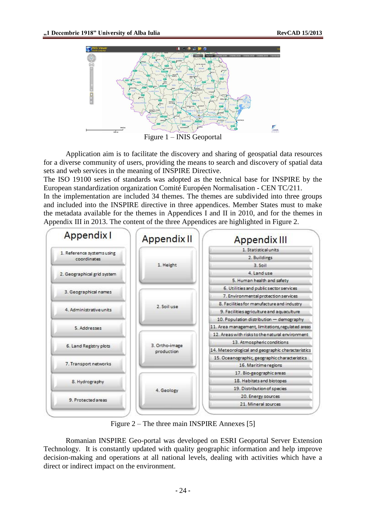

Application aim is to facilitate the discovery and sharing of geospatial data resources for a diverse community of users, providing the means to search and discovery of spatial data sets and web services in the meaning of INSPIRE Directive.

The ISO 19100 series of standards was adopted as the technical base for INSPIRE by the European standardization organization Comité Européen Normalisation - CEN TC/211.

In the implementation are included 34 themes. The themes are subdivided into three groups and included into the INSPIRE directive in three appendices. Member States must to make the metadata available for the themes in Appendices I and II in 2010, and for the themes in Appendix III in 2013. The content of the three Appendices are highlighted in Figure 2.



Figure 2 – The three main INSPIRE Annexes [5]

Romanian INSPIRE Geo-portal was developed on ESRI Geoportal Server Extension Technology. It is constantly updated with quality geographic information and help improve decision-making and operations at all national levels, dealing with activities which have a direct or indirect impact on the environment.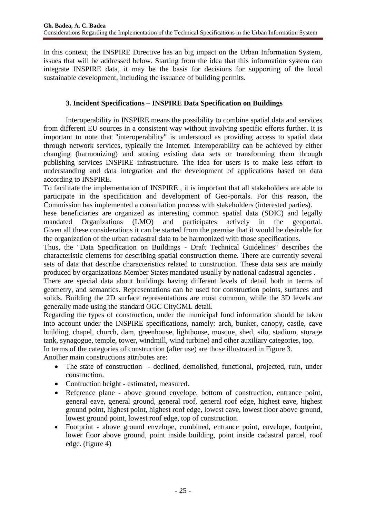In this context, the INSPIRE Directive has an big impact on the Urban Information System, issues that will be addressed below. Starting from the idea that this information system can integrate INSPIRE data, it may be the basis for decisions for supporting of the local sustainable development, including the issuance of building permits.

# **3. Incident Specifications – INSPIRE Data Specification on Buildings**

Interoperability in INSPIRE means the possibility to combine spatial data and services from different EU sources in a consistent way without involving specific efforts further. It is important to note that "interoperability" is understood as providing access to spatial data through network services, typically the Internet. Interoperability can be achieved by either changing (harmonizing) and storing existing data sets or transforming them through publishing services INSPIRE infrastructure. The idea for users is to make less effort to understanding and data integration and the development of applications based on data according to INSPIRE.

To facilitate the implementation of INSPIRE , it is important that all stakeholders are able to participate in the specification and development of Geo-portals. For this reason, the Commission has implemented a consultation process with stakeholders (interested parties).

hese beneficiaries are organized as interesting common spatial data (SDIC) and legally mandated Organizations (LMO) and participates actively in the geoportal. Given all these considerations it can be started from the premise that it would be desirable for the organization of the urban cadastral data to be harmonized with those specifications.

Thus, the "Data Specification on Buildings - Draft Technical Guidelines" describes the characteristic elements for describing spatial construction theme. There are currently several sets of data that describe characteristics related to construction. These data sets are mainly produced by organizations Member States mandated usually by national cadastral agencies .

There are special data about buildings having different levels of detail both in terms of geometry, and semantics. Representations can be used for construction points, surfaces and solids. Building the 2D surface representations are most common, while the 3D levels are generally made using the standard OGC CityGML detail.

Regarding the types of construction, under the municipal fund information should be taken into account under the INSPIRE specifications, namely: arch, bunker, canopy, castle, cave building, chapel, church, dam, greenhouse, lighthouse, mosque, shed, silo, stadium, storage tank, synagogue, temple, tower, windmill, wind turbine) and other auxiliary categories, too.

In terms of the categories of construction (after use) are those illustrated in Figure 3.

Another main constructions attributes are:

- The state of construction declined, demolished, functional, projected, ruin, under construction.
- Contruction height estimated, measured.
- Reference plane above ground envelope, bottom of construction, entrance point, general eave, general ground, general roof, general roof edge, highest eave, highest ground point, highest point, highest roof edge, lowest eave, lowest floor above ground, lowest ground point, lowest roof edge, top of construction.
- Footprint above ground envelope, combined, entrance point, envelope, footprint, lower floor above ground, point inside building, point inside cadastral parcel, roof edge. (figure 4)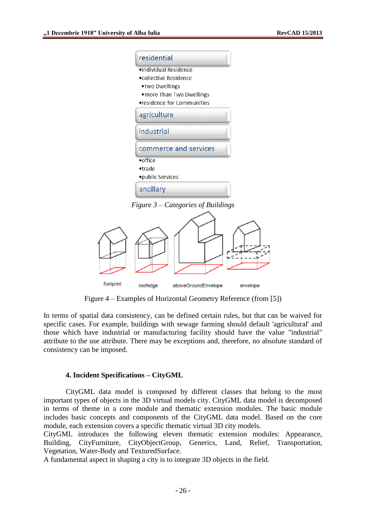| residential                    |
|--------------------------------|
| $\bullet$ individual Residence |
| •collective Residence          |
| •two Dwellings                 |
| . more Than Two Dwellings      |
| •residence for Communities     |
| agriculture                    |
| industrial                     |
| commerce and services          |
| $\bullet$ office               |
| ·trade                         |
| •public Services               |
| ancillary                      |

*Figure 3 – Categories of Buildings*



Figure 4 – Examples of Horizontal Geometry Reference (from [5])

In terms of spatial data consistency, can be defined certain rules, but that can be waived for specific cases. For example, buildings with sewage farming should default 'agricultural' and those which have industrial or manufacturing facility should have the value "industrial" attribute to the use attribute. There may be exceptions and, therefore, no absolute standard of consistency can be imposed.

#### **4. Incident Specifications – CityGML**

CityGML data model is composed by different classes that belong to the most important types of objects in the 3D virtual models city. CityGML data model is decomposed in terms of theme in a core module and thematic extension modules. The basic module includes basic concepts and components of the CityGML data model. Based on the core module, each extension covers a specific thematic virtual 3D city models.

CityGML introduces the following eleven thematic extension modules: Appearance, Building, CityFurniture, CityObjectGroup, Generics, Land, Relief, Transportation, Vegetation, Water-Body and TexturedSurface.

A fundamental aspect in shaping a city is to integrate 3D objects in the field.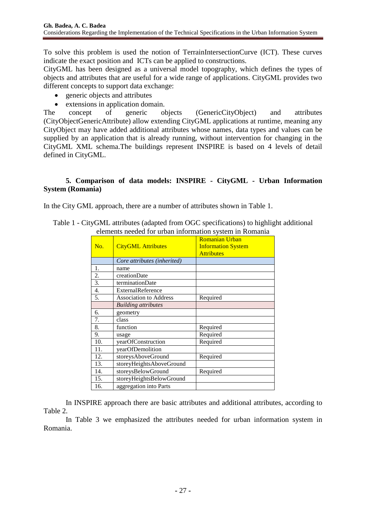To solve this problem is used the notion of TerrainIntersectionCurve (ICT). These curves indicate the exact position and ICTs can be applied to constructions.

CityGML has been designed as a universal model topography, which defines the types of objects and attributes that are useful for a wide range of applications. CityGML provides two different concepts to support data exchange:

- generic objects and attributes
- extensions in application domain.

The concept of generic objects (GenericCityObject) and attributes (CityObjectGenericAttribute) allow extending CityGML applications at runtime, meaning any CityObject may have added additional attributes whose names, data types and values can be supplied by an application that is already running, without intervention for changing in the CityGML XML schema.The buildings represent INSPIRE is based on 4 levels of detail defined in CityGML.

## **5. Comparison of data models: INSPIRE - CityGML - Urban Information System (Romania)**

In the City GML approach, there are a number of attributes shown in Table 1.

|     | cientents necesca for aroun information system in reomania |                           |  |  |  |
|-----|------------------------------------------------------------|---------------------------|--|--|--|
|     |                                                            | <b>Romanian Urban</b>     |  |  |  |
| No. | <b>CityGML</b> Attributes                                  | <b>Information System</b> |  |  |  |
|     |                                                            | <b>Attributes</b>         |  |  |  |
|     | Core attributes (inherited)                                |                           |  |  |  |
| 1.  | name                                                       |                           |  |  |  |
| 2.  | creationDate                                               |                           |  |  |  |
| 3.  | terminationDate                                            |                           |  |  |  |
| 4.  | ExternalReference                                          |                           |  |  |  |
| 5.  | <b>Association to Address</b>                              | Required                  |  |  |  |
|     | <b>Building attributes</b>                                 |                           |  |  |  |
| 6.  | geometry                                                   |                           |  |  |  |
| 7.  | class                                                      |                           |  |  |  |
| 8.  | function                                                   | Required                  |  |  |  |
| 9.  | usage                                                      | Required                  |  |  |  |
| 10. | yearOfConstruction                                         | Required                  |  |  |  |
| 11. | yearOfDemolition                                           |                           |  |  |  |
| 12. | storeysAboveGround                                         | Required                  |  |  |  |
| 13. | storeyHeightsAboveGround                                   |                           |  |  |  |
| 14. | storeysBelowGround                                         | Required                  |  |  |  |
| 15. | storeyHeightsBelowGround                                   |                           |  |  |  |
| 16. | aggregation into Parts                                     |                           |  |  |  |

Table 1 - CityGML attributes (adapted from OGC specifications) to highlight additional elements needed for urban information system in Romania

In INSPIRE approach there are basic attributes and additional attributes, according to Table 2.

In Table 3 we emphasized the attributes needed for urban information system in Romania.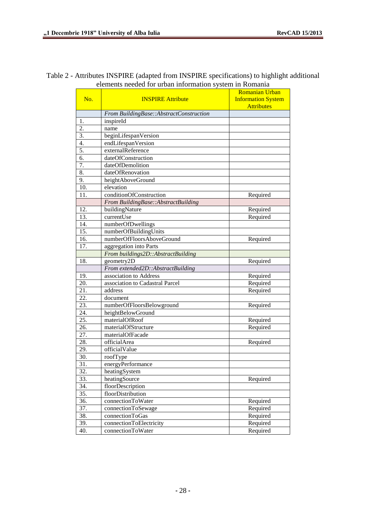# Table 2 - Attributes INSPIRE (adapted from INSPIRE specifications) to highlight additional elements needed for urban information system in Romania

|                  |                                         | <b>Romanian Urban</b>     |  |  |
|------------------|-----------------------------------------|---------------------------|--|--|
| No.              | <b>INSPIRE Attribute</b>                | <b>Information System</b> |  |  |
|                  |                                         | <b>Attributes</b>         |  |  |
|                  | From BuildingBase::AbstractConstruction |                           |  |  |
| 1.               | inspireId                               |                           |  |  |
| $\overline{2}$ . | name                                    |                           |  |  |
| 3.               | beginLifespanVersion                    |                           |  |  |
| 4.               | endLifespanVersion                      |                           |  |  |
| 5.               | externalReference                       |                           |  |  |
| 6.               | dateOfConstruction                      |                           |  |  |
| 7.               | dateOfDemolition                        |                           |  |  |
| 8.               | dateOfRenovation                        |                           |  |  |
| 9.               | heightAboveGround                       |                           |  |  |
| 10.              | elevation                               |                           |  |  |
| 11.              | conditionOfConstruction                 | Required                  |  |  |
|                  | From BuildingBase::AbstractBuilding     |                           |  |  |
| 12.              | buildingNature                          | Required                  |  |  |
| 13.              | currentUse                              | Required                  |  |  |
| 14.              | numberOfDwellings                       |                           |  |  |
| 15.              | numberOfBuildingUnits                   |                           |  |  |
| 16.              | numberOfFloorsAboveGround               | Required                  |  |  |
| 17.              | aggregation into Parts                  |                           |  |  |
|                  | From buildings2D::AbstractBuilding      |                           |  |  |
| 18.              | geometry2D                              | Required                  |  |  |
|                  | From extended2D::AbstractBuilding       |                           |  |  |
| 19.              | association to Address                  | Required                  |  |  |
| 20.              | association to Cadastral Parcel         | Required                  |  |  |
| 21.              | address                                 | Required                  |  |  |
| 22.              | document                                |                           |  |  |
| 23.              | numberOfFloorsBelowground               | Required                  |  |  |
| 24.              | heightBelowGround                       |                           |  |  |
| 25.              | materialOfRoof                          | Required                  |  |  |
| 26.              | materialOfStructure                     | Required                  |  |  |
| 27.              | materialOfFacade                        |                           |  |  |
| 28.              | officialArea                            | Required                  |  |  |
| 29.              | officialValue                           |                           |  |  |
| 30.              | roofType                                |                           |  |  |
| 31.              | energyPerformance                       |                           |  |  |
| 32.              | heatingSystem                           |                           |  |  |
| 33.              | heatingSource                           | Required                  |  |  |
| 34.              | floorDescription                        |                           |  |  |
| 35.              | floorDistribution                       |                           |  |  |
| 36.              | connectionToWater                       | Required                  |  |  |
| 37.              | connectionToSewage                      | Required                  |  |  |
| 38.              | connectionToGas                         | Required                  |  |  |
| 39.              | connectionToElectricity                 | Required                  |  |  |
| 40.              | connectionToWater                       | Required                  |  |  |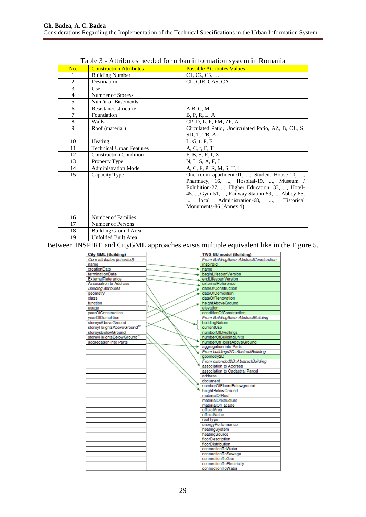| No.            | <b>Construction Attributes</b>  | $\ldots$ . The case is the commutation $\sigma$ , shown in Troman<br><b>Possible Attributes Values</b>                                                                                                                                                           |
|----------------|---------------------------------|------------------------------------------------------------------------------------------------------------------------------------------------------------------------------------------------------------------------------------------------------------------|
| 1              | <b>Building Number</b>          | C1, C2, C3,                                                                                                                                                                                                                                                      |
| $\overline{c}$ | Destination                     | CL, CIE, CAS, CA                                                                                                                                                                                                                                                 |
| 3              | Use                             |                                                                                                                                                                                                                                                                  |
| $\overline{4}$ | Number of Storeys               |                                                                                                                                                                                                                                                                  |
| 5              | Număr of Basements              |                                                                                                                                                                                                                                                                  |
| 6              | Resistance structure            | A,B,C,M                                                                                                                                                                                                                                                          |
| 7              | Foundation                      | B, P, R, L, A                                                                                                                                                                                                                                                    |
| 8              | Walls                           | CP, D, L, P, PM, ZP, A                                                                                                                                                                                                                                           |
| $\mathbf Q$    | Roof (material)                 | Circulated Patio, Uncirculated Patio, AZ, B, OL, S,                                                                                                                                                                                                              |
|                |                                 | SD, T, TB, A                                                                                                                                                                                                                                                     |
| 10             | Heating                         | L, G, t, P, E                                                                                                                                                                                                                                                    |
| 11             | <b>Technical Urban Features</b> | A, C, t, E, T                                                                                                                                                                                                                                                    |
| 12             | <b>Construction Condition</b>   | F, B, S, R, I, X                                                                                                                                                                                                                                                 |
| 13             | Property Type                   | N, L, S, A, F, J                                                                                                                                                                                                                                                 |
| 14             | <b>Administration Mode</b>      | A, C, F, P, R, M, S, T, L                                                                                                                                                                                                                                        |
| 15             | Capacity Type                   | One room apartment-01, , Student House-10, ,<br>Pharmacy, 16, , Hospital-19, , Museum /<br>Exhibition-27, , Higher Education, 33, , Hotel-<br>45. , Gym-51, , Railway Station-59, , Abbey-65,<br>local Administration-68, , Historical<br>Monuments-86 (Annex 4) |
| 16             | Number of Families              |                                                                                                                                                                                                                                                                  |
| 17             | Number of Persons               |                                                                                                                                                                                                                                                                  |
| 18             | <b>Building Ground Area</b>     |                                                                                                                                                                                                                                                                  |
| 19             | <b>Unfolded Built Area</b>      |                                                                                                                                                                                                                                                                  |

Table 3 - Attributes needed for urban information system in Romania

Between INSPIRE and CityGML approaches exists multiple equivalent like in the Figure 5.

| <b>City GML (Building)</b>             | <b>TWG BU model (Building)</b>          |  |  |
|----------------------------------------|-----------------------------------------|--|--|
| Core attributes (inherited)            | From BuildingBase::AbstractConstruction |  |  |
| name                                   | inspireld                               |  |  |
| creationDate                           | name                                    |  |  |
| terminationDate                        | beginLifespanVersion                    |  |  |
| ExternalReference                      | endLifespanVersion                      |  |  |
| <b>Association to Address</b>          | externalReference                       |  |  |
| <b>Building attributes</b>             | dateOfConstruction                      |  |  |
| geometry                               | dateOfDemolition                        |  |  |
| class                                  | dateOfRenovation                        |  |  |
| function                               | heightAboveGround                       |  |  |
| usage                                  | elevation                               |  |  |
| vearOfConstruction                     | conditionOfConstruction                 |  |  |
| vearOfDemolition                       | From BuildingBase::AbstractBuilding     |  |  |
| storeysAboveGround                     | buildingNature                          |  |  |
| storeyHeightsAboveGround <sup>11</sup> | currentUse                              |  |  |
| storevsBelowGround                     | numberOfDwellings                       |  |  |
| storeyHeightsBelowGround20             | numberOfBuildingUnits                   |  |  |
| aggregation into Parts                 | numberOfFloorsAboveGround               |  |  |
|                                        | aggregation into Parts                  |  |  |
|                                        | From buildings2D: AbstractBuilding      |  |  |
|                                        | geometry <sub>2D</sub>                  |  |  |
|                                        | From extended2D::AbstractBuilding       |  |  |
|                                        | association to Address                  |  |  |
|                                        | association to Cadastral Parcel         |  |  |
|                                        | address                                 |  |  |
|                                        | document                                |  |  |
|                                        | numberOfFloorsBelowground               |  |  |
|                                        | heightBelowGround                       |  |  |
|                                        | materialOfRoof                          |  |  |
|                                        | materialOfStructure                     |  |  |
|                                        | materialOfFacade                        |  |  |
|                                        | officialArea                            |  |  |
|                                        | officialValue                           |  |  |
|                                        | roofType                                |  |  |
|                                        | energyPerformance                       |  |  |
|                                        | heatingSystem                           |  |  |
|                                        | heatingSource                           |  |  |
|                                        | floorDescription                        |  |  |
|                                        | floorDistribution                       |  |  |
|                                        | connectionToWater                       |  |  |
|                                        | connectionToSewage                      |  |  |
|                                        | connectionToGas                         |  |  |
|                                        | connectionToElectricity                 |  |  |
|                                        | connectionToWater                       |  |  |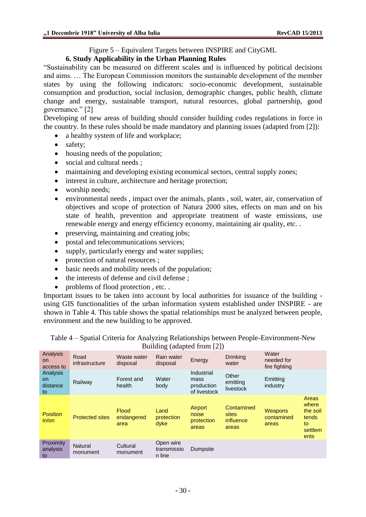Figure 5 – Equivalent Targets between INSPIRE and CityGML

# **6. Study Applicability in the Urban Planning Rules**

"Sustainability can be measured on different scales and is influenced by political decisions and aims. … The European Commission monitors the sustainable development of the member states by using the following indicators: socio-economic development, sustainable consumption and production, social inclusion, demographic changes, public health, climate change and energy, sustainable transport, natural resources, global partnership, good governance." [2]

Developing of new areas of building should consider building codes regulations in force in the country. In these rules should be made mandatory and planning issues (adapted from [2]):

- a healthy system of life and workplace;
- safety;
- housing needs of the population;
- social and cultural needs ;
- maintaining and developing existing economical sectors, central supply zones;
- interest in culture, architecture and heritage protection;
- worship needs;
- environmental needs , impact over the animals, plants , soil, water, air, conservation of objectives and scope of protection of Natura 2000 sites, effects on man and on his state of health, prevention and appropriate treatment of waste emissions, use renewable energy and energy efficiency economy, maintaining air quality, etc. .
- preserving, maintaining and creating jobs;
- postal and telecommunications services;
- supply, particularly energy and water supplies;
- protection of natural resources ;
- basic needs and mobility needs of the population;
- the interests of defense and civil defense;
- problems of flood protection, etc...

Important issues to be taken into account by local authorities for issuance of the building using GIS functionalities of the urban information system established under INSPIRE - are shown in Table 4. This table shows the spatial relationships must be analyzed between people, environment and the new building to be approved.

Table 4 – Spatial Criteria for Analyzing Relationships between People-Environment-New Building (adapted from [2])

| Analysis<br>on.<br>access to      | Road<br>infrastructure | Waste water<br>disposal            | Rain water<br>disposal             | Energy                                           | <b>Drinking</b><br>water                  | Water<br>needed for<br>fire fighting |                                                              |
|-----------------------------------|------------------------|------------------------------------|------------------------------------|--------------------------------------------------|-------------------------------------------|--------------------------------------|--------------------------------------------------------------|
| Analysis<br>on.<br>distance<br>to | Railway                | Forest and<br>health               | Water<br>body                      | Industrial<br>mass<br>production<br>of livestock | Other<br>emitting<br>livestock            | Emitting<br>industry                 |                                                              |
| <b>Position</b><br>in/or          | <b>Protected sites</b> | <b>Flood</b><br>endangered<br>area | Land<br>protection<br>dyke         | Airport<br>noise<br>protection<br>areas          | Contamined<br>sites<br>influence<br>areas | Weapons<br>contamined<br>areas       | Areas<br>where<br>the soil<br>tends<br>to<br>settlem<br>ents |
| Proximity<br>analysis<br>to       | Natural<br>monument    | Cultural<br>monument               | Open wire<br>transmissio<br>n line | Dumpsite                                         |                                           |                                      |                                                              |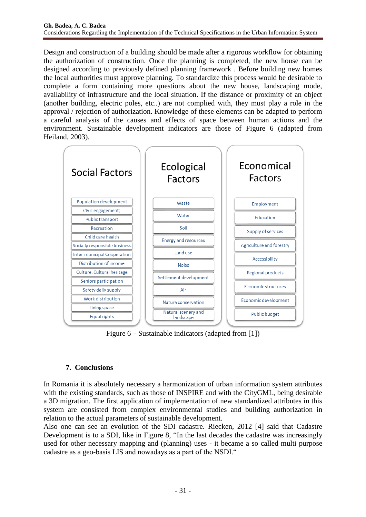Design and construction of a building should be made after a rigorous workflow for obtaining the authorization of construction. Once the planning is completed, the new house can be designed according to previously defined planning framework . Before building new homes the local authorities must approve planning. To standardize this process would be desirable to complete a form containing more questions about the new house, landscaping mode, availability of infrastructure and the local situation. If the distance or proximity of an object (another building, electric poles, etc..) are not complied with, they must play a role in the approval / rejection of authorization. Knowledge of these elements can be adapted to perform a careful analysis of the causes and effects of space between human actions and the environment. Sustainable development indicators are those of Figure 6 (adapted from Heiland, 2003).



Figure 6 – Sustainable indicators (adapted from [1])

# **7. Conclusions**

In Romania it is absolutely necessary a harmonization of urban information system attributes with the existing standards, such as those of INSPIRE and with the CityGML, being desirable a 3D migration. The first application of implementation of new standardized attributes in this system are consisted from complex environmental studies and building authorization in relation to the actual parameters of sustainable development.

Also one can see an evolution of the SDI cadastre. Riecken, 2012 [4] said that Cadastre Development is to a SDI, like in Figure 8, "In the last decades the cadastre was increasingly used for other necessary mapping and (planning) uses - it became a so called multi purpose cadastre as a geo-basis LIS and nowadays as a part of the NSDI."